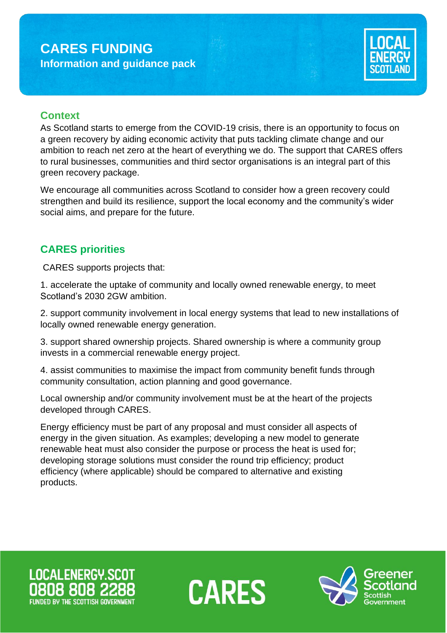# **CARES FUNDING Information and guidance pack**



## **Context**

As Scotland starts to emerge from the COVID-19 crisis, there is an opportunity to focus on a green recovery by aiding economic activity that puts tackling climate change and our ambition to reach net zero at the heart of everything we do. The support that CARES offers to rural businesses, communities and third sector organisations is an integral part of this green recovery package.

We encourage all communities across Scotland to consider how a green recovery could strengthen and build its resilience, support the local economy and the community's wider social aims, and prepare for the future.

## **CARES priorities**

CARES supports projects that:

1. accelerate the uptake of community and locally owned renewable energy, to meet Scotland's 2030 2GW ambition.

2. support community involvement in local energy systems that lead to new installations of locally owned renewable energy generation.

3. support shared ownership projects. Shared ownership is where a community group invests in a commercial renewable energy project.

4. assist communities to maximise the impact from community benefit funds through community consultation, action planning and good governance.

Local ownership and/or community involvement must be at the heart of the projects developed through CARES.

Energy efficiency must be part of any proposal and must consider all aspects of energy in the given situation. As examples; developing a new model to generate renewable heat must also consider the purpose or process the heat is used for; developing storage solutions must consider the round trip efficiency; product efficiency (where applicable) should be compared to alternative and existing products.

**LOCALENERGY.SCOT** 



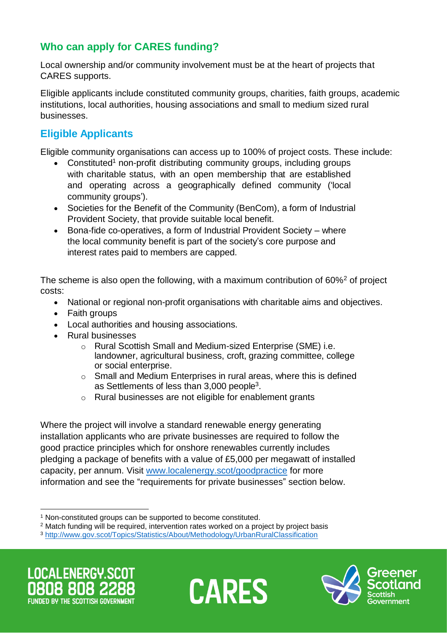# **Who can apply for CARES funding?**

Local ownership and/or community involvement must be at the heart of projects that CARES supports.

Eligible applicants include constituted community groups, charities, faith groups, academic institutions, local authorities, housing associations and small to medium sized rural businesses.

# **Eligible Applicants**

Eligible community organisations can access up to 100% of project costs. These include:

- Constituted<sup>1</sup> non-profit distributing community groups, including groups with charitable status, with an open membership that are established and operating across a geographically defined community ('local community groups').
- Societies for the Benefit of the Community (BenCom), a form of Industrial Provident Society, that provide suitable local benefit.
- Bona-fide co-operatives, a form of Industrial Provident Society where the local community benefit is part of the society's core purpose and interest rates paid to members are capped.

The scheme is also open the following, with a maximum contribution of  $60\%^2$  of project costs:

- National or regional non-profit organisations with charitable aims and objectives.
- Faith groups
- Local authorities and housing associations.
- Rural businesses
	- o Rural Scottish Small and Medium-sized Enterprise (SME) i.e. landowner, agricultural business, croft, grazing committee, college or social enterprise.
	- o Small and Medium Enterprises in rural areas, where this is defined as Settlements of less than  $3,000$  people<sup>3</sup>.
	- o Rural businesses are not eligible for enablement grants

Where the project will involve a standard renewable energy generating installation applicants who are private businesses are required to follow the good practice principles which for onshore renewables currently includes pledging a package of benefits with a value of £5,000 per megawatt of installed capacity, per annum. Visit [www.localenergy.scot/goodpractice](http://www.localenergy.scot/goodpractice) for more information and see the "requirements for private businesses" section below.

**LOCALENERGY SCOT FUNDED BY THE SCOTTISH GOVERNMED** 





<sup>1</sup> Non-constituted groups can be supported to become constituted.

<sup>&</sup>lt;sup>2</sup> Match funding will be required, intervention rates worked on a project by project basis

<sup>3</sup> <http://www.gov.scot/Topics/Statistics/About/Methodology/UrbanRuralClassification>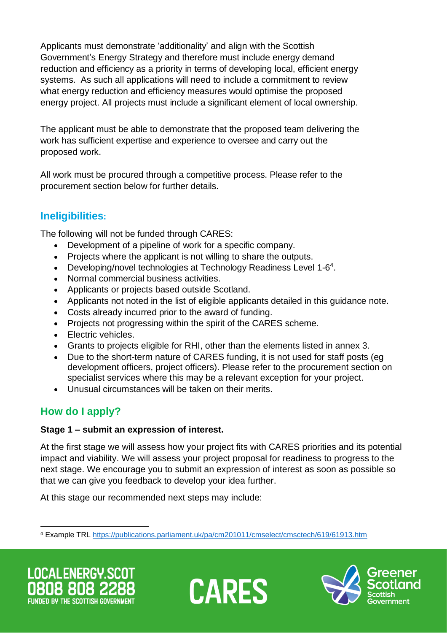Applicants must demonstrate 'additionality' and align with the Scottish Government's Energy Strategy and therefore must include energy demand reduction and efficiency as a priority in terms of developing local, efficient energy systems. As such all applications will need to include a commitment to review what energy reduction and efficiency measures would optimise the proposed energy project. All projects must include a significant element of local ownership.

The applicant must be able to demonstrate that the proposed team delivering the work has sufficient expertise and experience to oversee and carry out the proposed work.

All work must be procured through a competitive process. Please refer to the procurement section below for further details.

# **Ineligibilities:**

The following will not be funded through CARES:

- Development of a pipeline of work for a specific company.
- Projects where the applicant is not willing to share the outputs.
- Developing/novel technologies at Technology Readiness Level 1-6<sup>4</sup>.
- Normal commercial business activities.
- Applicants or projects based outside Scotland.
- Applicants not noted in the list of eligible applicants detailed in this guidance note.
- Costs already incurred prior to the award of funding.
- Projects not progressing within the spirit of the CARES scheme.
- Electric vehicles.
- Grants to projects eligible for RHI, other than the elements listed in annex 3.
- Due to the short-term nature of CARES funding, it is not used for staff posts (eg development officers, project officers). Please refer to the procurement section on specialist services where this may be a relevant exception for your project.
- Unusual circumstances will be taken on their merits.

# **How do I apply?**

#### **Stage 1 – submit an expression of interest.**

At the first stage we will assess how your project fits with CARES priorities and its potential impact and viability. We will assess your project proposal for readiness to progress to the next stage. We encourage you to submit an expression of interest as soon as possible so that we can give you feedback to develop your idea further.

At this stage our recommended next steps may include:





<sup>4</sup> Example TRL [https://publications.parliament.uk/pa/cm201011/cmselect/cmsctech/619/61913.htm](https://emea01.safelinks.protection.outlook.com/?url=https%3A%2F%2Fpublications.parliament.uk%2Fpa%2Fcm201011%2Fcmselect%2Fcmsctech%2F619%2F61913.htm&data=02%7C01%7CAmanda.Swan%40ricardo.com%7Cbe46add2df474d366c1208d59f83cf98%7C0b6675bca0cc4acf954f092a57ea13ea%7C0%7C0%7C636590310847215334&sdata=x%2BecePVqT07gYhrYQuLTkwJtl%2BBfusVeGqHU%2BNJa2RE%3D&reserved=0)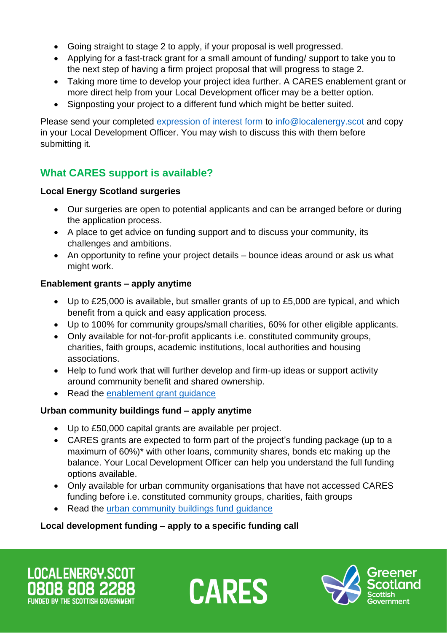- Going straight to stage 2 to apply, if your proposal is well progressed.
- Applying for a fast-track grant for a small amount of funding/ support to take you to the next step of having a firm project proposal that will progress to stage 2.
- Taking more time to develop your project idea further. A CARES enablement grant or more direct help from your Local Development officer may be a better option.
- Signposting your project to a different fund which might be better suited.

Please send your completed [expression of interest form](https://www.localenergy.scot/media/110905/expression-of-interest-form.docx) to [info@localenergy.scot](mailto:info@localenergy.scot) and copy in your Local Development Officer. You may wish to discuss this with them before submitting it.

# **What CARES support is available?**

#### **Local Energy Scotland surgeries**

- Our surgeries are open to potential applicants and can be arranged before or during the application process.
- A place to get advice on funding support and to discuss your community, its challenges and ambitions.
- An opportunity to refine your project details bounce ideas around or ask us what might work.

### **Enablement grants – apply anytime**

- Up to £25,000 is available, but smaller grants of up to £5,000 are typical, and which benefit from a quick and easy application process.
- Up to 100% for community groups/small charities, 60% for other eligible applicants.
- Only available for not-for-profit applicants i.e. constituted community groups, charities, faith groups, academic institutions, local authorities and housing associations.
- Help to fund work that will further develop and firm-up ideas or support activity around community benefit and shared ownership.
- Read the [enablement grant](https://www.localenergy.scot/funding/cares-enablement-grant/) guidance

## **Urban community buildings fund – apply anytime**

- Up to £50,000 capital grants are available per project.
- CARES grants are expected to form part of the project's funding package (up to a maximum of 60%)\* with other loans, community shares, bonds etc making up the balance. Your Local Development Officer can help you understand the full funding options available.
- Only available for urban community organisations that have not accessed CARES funding before i.e. constituted community groups, charities, faith groups
- Read the [urban community buildings fund](https://www.localenergy.scot/funding/urban-community-buildings-support/) quidance

## **Local development funding – apply to a specific funding call**

LOCALENERGY.SCOT **FUNDED BY THE SCOTTISH GOVERNME** 



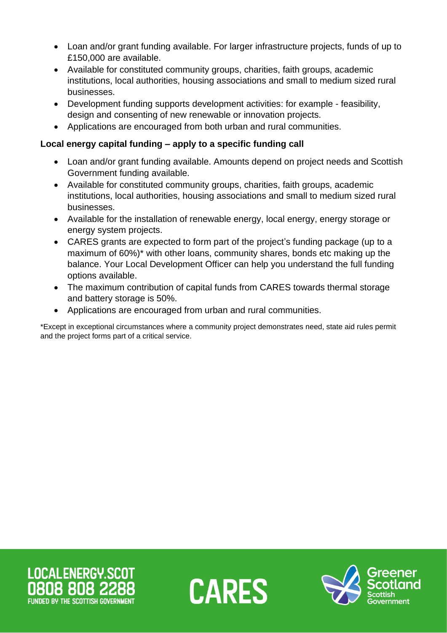- Loan and/or grant funding available. For larger infrastructure projects, funds of up to £150,000 are available.
- Available for constituted community groups, charities, faith groups, academic institutions, local authorities, housing associations and small to medium sized rural businesses.
- Development funding supports development activities: for example feasibility, design and consenting of new renewable or innovation projects.
- Applications are encouraged from both urban and rural communities.

#### **Local energy capital funding – apply to a specific funding call**

- Loan and/or grant funding available. Amounts depend on project needs and Scottish Government funding available.
- Available for constituted community groups, charities, faith groups, academic institutions, local authorities, housing associations and small to medium sized rural businesses.
- Available for the installation of renewable energy, local energy, energy storage or energy system projects.
- CARES grants are expected to form part of the project's funding package (up to a maximum of 60%)\* with other loans, community shares, bonds etc making up the balance. Your Local Development Officer can help you understand the full funding options available.
- The maximum contribution of capital funds from CARES towards thermal storage and battery storage is 50%.
- Applications are encouraged from urban and rural communities.

\*Except in exceptional circumstances where a community project demonstrates need, state aid rules permit and the project forms part of a critical service.





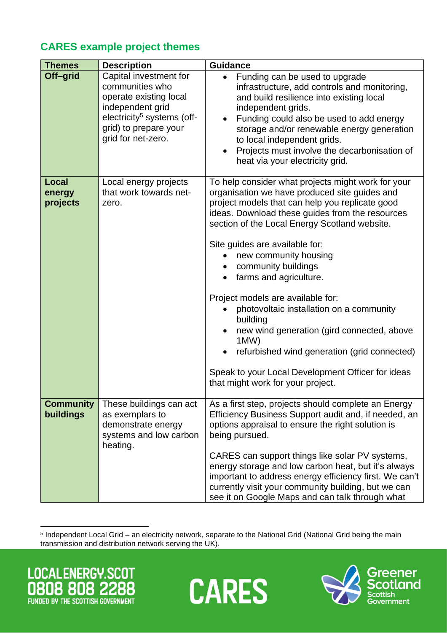# **CARES example project themes**

| <b>Themes</b>                 | <b>Description</b>                                                                                                                                                               | <b>Guidance</b>                                                                                                                                                                                                                                                                                                                                                                                                                                                                                                                                                                                                                                                                  |
|-------------------------------|----------------------------------------------------------------------------------------------------------------------------------------------------------------------------------|----------------------------------------------------------------------------------------------------------------------------------------------------------------------------------------------------------------------------------------------------------------------------------------------------------------------------------------------------------------------------------------------------------------------------------------------------------------------------------------------------------------------------------------------------------------------------------------------------------------------------------------------------------------------------------|
| Off-grid                      | Capital investment for<br>communities who<br>operate existing local<br>independent grid<br>electricity <sup>5</sup> systems (off-<br>grid) to prepare your<br>grid for net-zero. | Funding can be used to upgrade<br>infrastructure, add controls and monitoring,<br>and build resilience into existing local<br>independent grids.<br>Funding could also be used to add energy<br>storage and/or renewable energy generation<br>to local independent grids.<br>Projects must involve the decarbonisation of<br>heat via your electricity grid.                                                                                                                                                                                                                                                                                                                     |
| Local<br>energy<br>projects   | Local energy projects<br>that work towards net-<br>zero.                                                                                                                         | To help consider what projects might work for your<br>organisation we have produced site guides and<br>project models that can help you replicate good<br>ideas. Download these guides from the resources<br>section of the Local Energy Scotland website.<br>Site guides are available for:<br>new community housing<br>$\bullet$<br>community buildings<br>farms and agriculture.<br>Project models are available for:<br>photovoltaic installation on a community<br>building<br>new wind generation (gird connected, above<br>1MW)<br>refurbished wind generation (grid connected)<br>Speak to your Local Development Officer for ideas<br>that might work for your project. |
| <b>Community</b><br>buildings | These buildings can act<br>as exemplars to<br>demonstrate energy<br>systems and low carbon<br>heating.                                                                           | As a first step, projects should complete an Energy<br>Efficiency Business Support audit and, if needed, an<br>options appraisal to ensure the right solution is<br>being pursued.<br>CARES can support things like solar PV systems,<br>energy storage and low carbon heat, but it's always<br>important to address energy efficiency first. We can't<br>currently visit your community building, but we can<br>see it on Google Maps and can talk through what                                                                                                                                                                                                                 |

5 Independent Local Grid – an electricity network, separate to the National Grid (National Grid being the main transmission and distribution network serving the UK).

LOCALENERGY.SCOT 88 80 8 18 FUNDED BY THE SCOTTISH GOVERNMENT



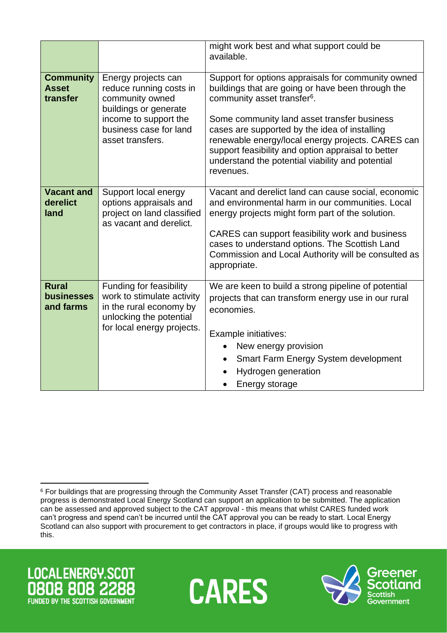|                                                |                                                                                                                                                                   | might work best and what support could be<br>available.                                                                                                                                                                                                                                                                                                                                                                        |
|------------------------------------------------|-------------------------------------------------------------------------------------------------------------------------------------------------------------------|--------------------------------------------------------------------------------------------------------------------------------------------------------------------------------------------------------------------------------------------------------------------------------------------------------------------------------------------------------------------------------------------------------------------------------|
| <b>Community</b><br><b>Asset</b><br>transfer   | Energy projects can<br>reduce running costs in<br>community owned<br>buildings or generate<br>income to support the<br>business case for land<br>asset transfers. | Support for options appraisals for community owned<br>buildings that are going or have been through the<br>community asset transfer <sup>6</sup> .<br>Some community land asset transfer business<br>cases are supported by the idea of installing<br>renewable energy/local energy projects. CARES can<br>support feasibility and option appraisal to better<br>understand the potential viability and potential<br>revenues. |
| <b>Vacant and</b><br>derelict<br>land          | Support local energy<br>options appraisals and<br>project on land classified<br>as vacant and derelict.                                                           | Vacant and derelict land can cause social, economic<br>and environmental harm in our communities. Local<br>energy projects might form part of the solution.<br>CARES can support feasibility work and business<br>cases to understand options. The Scottish Land<br>Commission and Local Authority will be consulted as<br>appropriate.                                                                                        |
| <b>Rural</b><br><b>businesses</b><br>and farms | Funding for feasibility<br>work to stimulate activity<br>in the rural economy by<br>unlocking the potential<br>for local energy projects.                         | We are keen to build a strong pipeline of potential<br>projects that can transform energy use in our rural<br>economies.<br>Example initiatives:<br>New energy provision<br>$\bullet$<br>Smart Farm Energy System development<br>Hydrogen generation<br>Energy storage                                                                                                                                                         |

<sup>6</sup> For buildings that are progressing through the Community Asset Transfer (CAT) process and reasonable progress is demonstrated Local Energy Scotland can support an application to be submitted. The application can be assessed and approved subject to the CAT approval - this means that whilst CARES funded work can't progress and spend can't be incurred until the CAT approval you can be ready to start. Local Energy Scotland can also support with procurement to get contractors in place, if groups would like to progress with this.





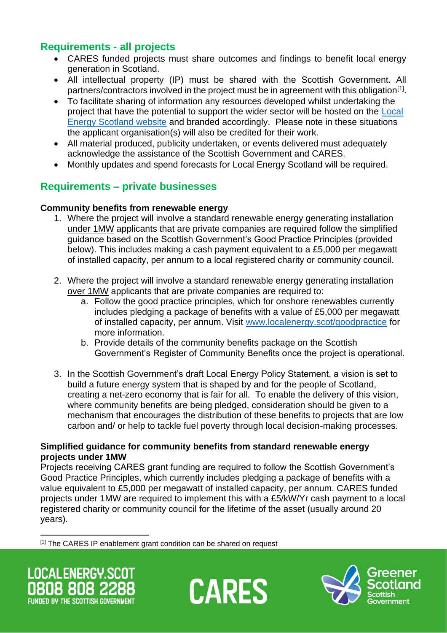## **Requirements - all projects**

- CARES funded projects must share outcomes and findings to benefit local energy generation in Scotland.
- All intellectual property (IP) must be shared with the Scottish Government. All partners/contractors involved in the project must be in agreement with this obligation<sup>[1]</sup>.
- To facilitate sharing of information any resources developed whilst undertaking the project that have the potential to support the wider sector will be hosted on the [Local](https://www.localenergy.scot/)  [Energy Scotland website](https://www.localenergy.scot/) and branded accordingly. Please note in these situations the applicant organisation(s) will also be credited for their work.
- All material produced, publicity undertaken, or events delivered must adequately acknowledge the assistance of the Scottish Government and CARES.
- Monthly updates and spend forecasts for Local Energy Scotland will be required.

## **Requirements – private businesses**

#### **Community benefits from renewable energy**

- 1. Where the project will involve a standard renewable energy generating installation under 1MW applicants that are private companies are required follow the simplified guidance based on the Scottish Government's Good Practice Principles (provided below). This includes making a cash payment equivalent to a £5,000 per megawatt of installed capacity, per annum to a local registered charity or community council.
- 2. Where the project will involve a standard renewable energy generating installation over 1MW applicants that are private companies are required to:
	- a. Follow the good practice principles, which for onshore renewables currently includes pledging a package of benefits with a value of £5,000 per megawatt of installed capacity, per annum. Visit [www.localenergy.scot/goodpractice](http://www.localenergy.scot/goodpractice) for more information.
	- b. Provide details of the community benefits package on the Scottish Government's Register of Community Benefits once the project is operational.
- 3. In the Scottish Government's draft Local Energy Policy Statement, a vision is set to build a future energy system that is shaped by and for the people of Scotland, creating a net-zero economy that is fair for all. To enable the delivery of this vision, where community benefits are being pledged, consideration should be given to a mechanism that encourages the distribution of these benefits to projects that are low carbon and/ or help to tackle fuel poverty through local decision-making processes.

#### **Simplified guidance for community benefits from standard renewable energy projects under 1MW**

Projects receiving CARES grant funding are required to follow the Scottish Government's Good Practice Principles, which currently includes pledging a package of benefits with a value equivalent to £5,000 per megawatt of installed capacity, per annum. CARES funded projects under 1MW are required to implement this with a £5/kW/Yr cash payment to a local registered charity or community council for the lifetime of the asset (usually around 20 years).

[1] The CARES IP enablement grant condition can be shared on request

LOCALENERGY.SCOT **FUNDED BY THE SCOTTISH GOVERNMENT** 

**CARES** 

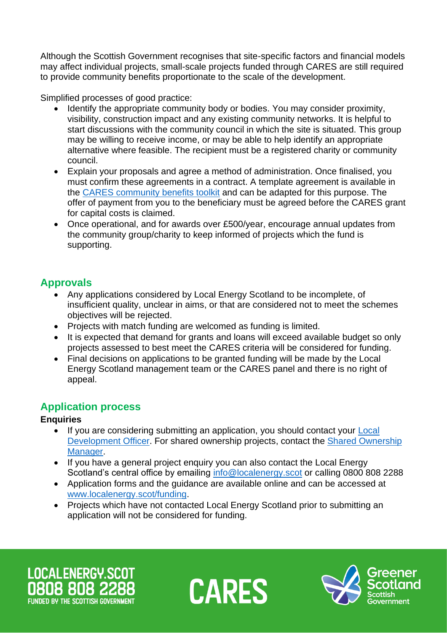Although the Scottish Government recognises that site-specific factors and financial models may affect individual projects, small-scale projects funded through CARES are still required to provide community benefits proportionate to the scale of the development.

Simplified processes of good practice:

- Identify the appropriate community body or bodies. You may consider proximity, visibility, construction impact and any existing community networks. It is helpful to start discussions with the community council in which the site is situated. This group may be willing to receive income, or may be able to help identify an appropriate alternative where feasible. The recipient must be a registered charity or community council.
- Explain your proposals and agree a method of administration. Once finalised, you must confirm these agreements in a contract. A template agreement is available in the [CARES community benefits toolkit](https://www.localenergy.scot/resources/cares-toolkit/community-benefits-toolkit/tool-template-community-benefit-agreement/) and can be adapted for this purpose. The offer of payment from you to the beneficiary must be agreed before the CARES grant for capital costs is claimed.
- Once operational, and for awards over £500/year, encourage annual updates from the community group/charity to keep informed of projects which the fund is supporting.

## **Approvals**

- Any applications considered by Local Energy Scotland to be incomplete, of insufficient quality, unclear in aims, or that are considered not to meet the schemes objectives will be rejected.
- Projects with match funding are welcomed as funding is limited.
- It is expected that demand for grants and loans will exceed available budget so only projects assessed to best meet the CARES criteria will be considered for funding.
- Final decisions on applications to be granted funding will be made by the Local Energy Scotland management team or the CARES panel and there is no right of appeal.

# **Application process**

## **Enquiries**

- If you are considering submitting an application, you should contact your **Local** [Development Officer.](https://www.localenergy.scot/who-we-are/local-contacts/) For shared ownership projects, contact the [Shared Ownership](https://www.localenergy.scot/who-we-are/local-contacts/)  [Manager.](https://www.localenergy.scot/who-we-are/local-contacts/)
- If you have a general project enquiry you can also contact the Local Energy Scotland's central office by emailing [info@localenergy.scot](mailto:info@localenergy.scot) or calling 0800 808 2288
- Application forms and the guidance are available online and can be accessed at [www.localenergy.scot/funding.](http://www.localenergy.scot/funding)
- Projects which have not contacted Local Energy Scotland prior to submitting an application will not be considered for funding.

LOCALENERGY.SCOT **FUNDED BY THE SCOTTISH GOVERNMEN** 



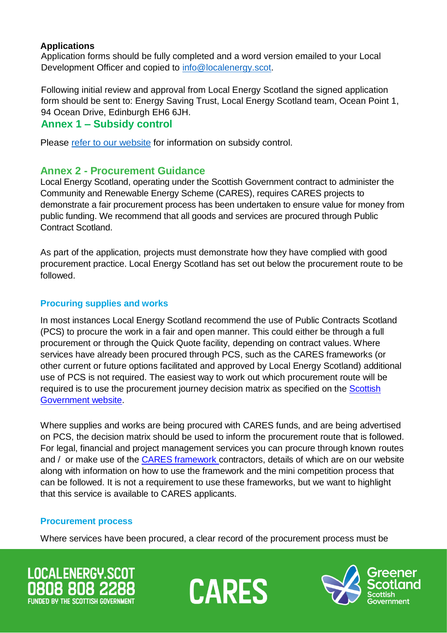#### **Applications**

Application forms should be fully completed and a word version emailed to your Local Development Officer and copied to [info@localenergy.scot.](mailto:info@localenergy.scot)

Following initial review and approval from Local Energy Scotland the signed application form should be sent to: Energy Saving Trust, Local Energy Scotland team, Ocean Point 1, 94 Ocean Drive, Edinburgh EH6 6JH.

### **Annex 1 – Subsidy control**

Please [refer to our website](https://www.localenergy.scot/funding/subsidy-control/) for information on subsidy control.

## **Annex 2 - Procurement Guidance**

Local Energy Scotland, operating under the Scottish Government contract to administer the Community and Renewable Energy Scheme (CARES), requires CARES projects to demonstrate a fair procurement process has been undertaken to ensure value for money from public funding. We recommend that all goods and services are procured through Public Contract Scotland.

As part of the application, projects must demonstrate how they have complied with good procurement practice. Local Energy Scotland has set out below the procurement route to be followed.

#### **Procuring supplies and works**

In most instances Local Energy Scotland recommend the use of Public Contracts Scotland (PCS) to procure the work in a fair and open manner. This could either be through a full procurement or through the Quick Quote facility, depending on contract values. Where services have already been procured through PCS, such as the CARES frameworks (or other current or future options facilitated and approved by Local Energy Scotland) additional use of PCS is not required. The easiest way to work out which procurement route will be required is to use the procurement journey decision matrix as specified on the [Scottish](https://www.procurementjourney.scot/)  [Government](https://www.procurementjourney.scot/) website.

Where supplies and works are being procured with CARES funds, and are being advertised on PCS, the decision matrix should be used to inform the procurement route that is followed. For legal, financial and project management services you can procure through known routes and / or make use of the CARES [framework](http://www.localenergyscotland.org/funding-resources/resources-advice/framework-contractors/) contractors, details of which are on our website along with information on how to use the framework and the mini competition process that can be followed. It is not a requirement to use these frameworks, but we want to highlight that this service is available to CARES applicants.

#### **Procurement process**

Where services have been procured, a clear record of the procurement process must be





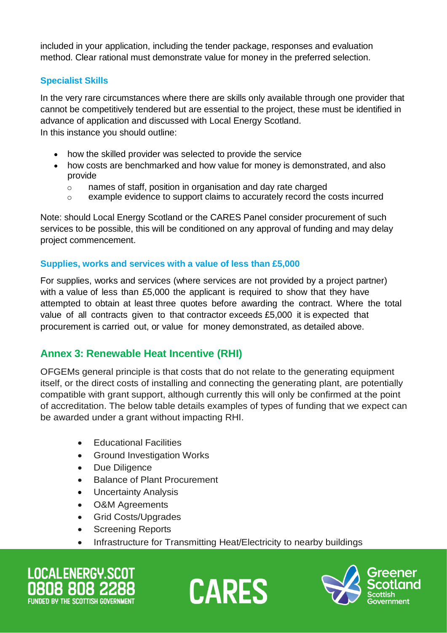included in your application, including the tender package, responses and evaluation method. Clear rational must demonstrate value for money in the preferred selection.

## **Specialist Skills**

In the very rare circumstances where there are skills only available through one provider that cannot be competitively tendered but are essential to the project, these must be identified in advance of application and discussed with Local Energy Scotland. In this instance you should outline:

- how the skilled provider was selected to provide the service
- how costs are benchmarked and how value for money is demonstrated, and also provide
	- o names of staff, position in organisation and day rate charged
	- o example evidence to support claims to accurately record the costs incurred

Note: should Local Energy Scotland or the CARES Panel consider procurement of such services to be possible, this will be conditioned on any approval of funding and may delay project commencement.

#### **Supplies, works and services with a value of less than £5,000**

For supplies, works and services (where services are not provided by a project partner) with a value of less than £5,000 the applicant is required to show that they have attempted to obtain at least three quotes before awarding the contract. Where the total value of all contracts given to that contractor exceeds £5,000 it is expected that procurement is carried out, or value for money demonstrated, as detailed above.

## **Annex 3: Renewable Heat Incentive (RHI)**

OFGEMs general principle is that costs that do not relate to the generating equipment itself, or the direct costs of installing and connecting the generating plant, are potentially compatible with grant support, although currently this will only be confirmed at the point of accreditation. The below table details examples of types of funding that we expect can be awarded under a grant without impacting RHI.

- Educational Facilities
- Ground Investigation Works
- Due Diligence
- Balance of Plant Procurement
- Uncertainty Analysis
- O&M Agreements
- Grid Costs/Upgrades
- Screening Reports
- Infrastructure for Transmitting Heat/Electricity to nearby buildings

**LOCALENERGY.SCOT** FUNDED BY THE SCOTTISH GOVERNME